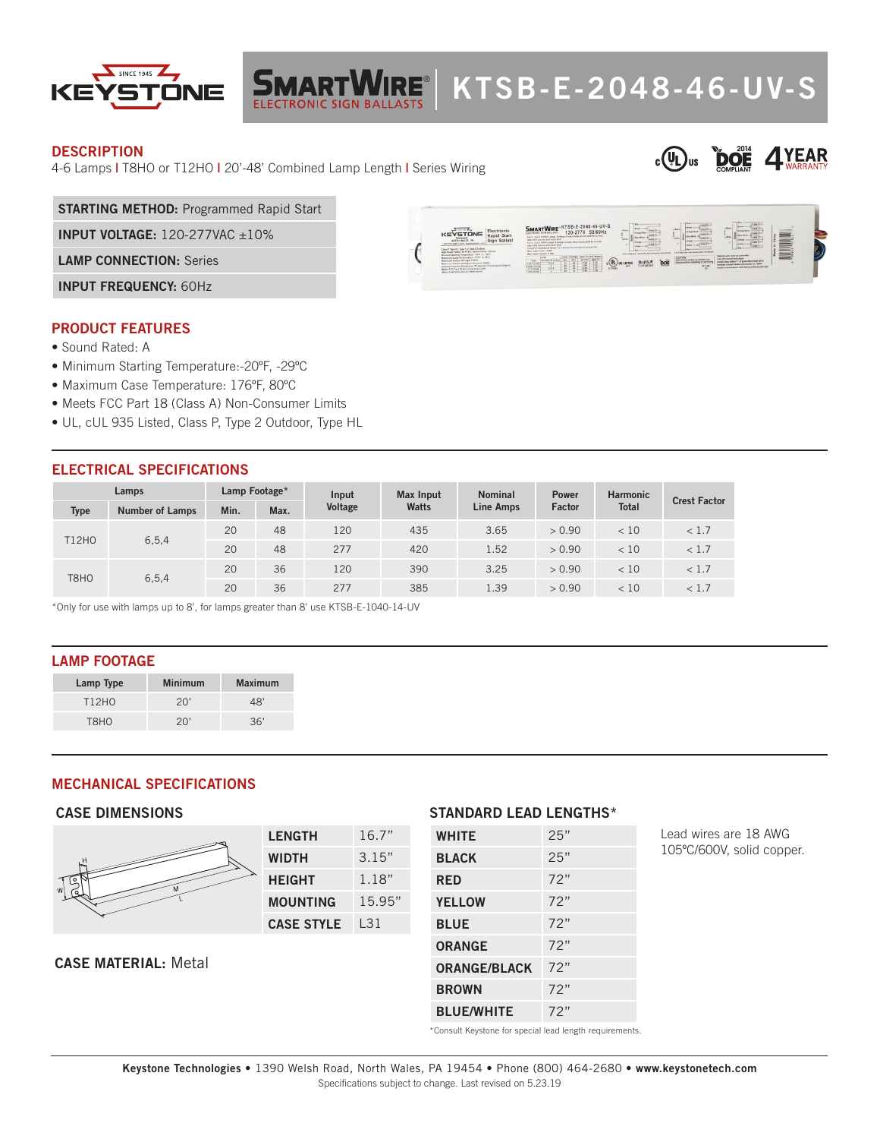

# **KING AND THE STATE OF A SET OF A SET OF A SET OF A SET OF A SET OF A SET OF A SET OF A SET OF A SET OF A SET OF A SET OF A SET OF A SET OF A SET OF A SET OF A SET OF A SET OF A SET OF A SET OF A SET OF A SET OF A SET OF A**

#### **DESCRIPTION**

4-6 Lamps **|** T8HO or T12HO **|** 20'-48' Combined Lamp Length **|** Series Wiring



**STARTING METHOD:** Programmed Rapid Start

**INPUT VOLTAGE:** 120-277VAC ±10%

**LAMP CONNECTION:** Series

**INPUT FREQUENCY:** 60Hz

#### **PRODUCT FEATURES**

- Sound Rated: A
- Minimum Starting Temperature:-20ºF, -29ºC
- Maximum Case Temperature: 176ºF, 80ºC
- Meets FCC Part 18 (Class A) Non-Consumer Limits
- UL, cUL 935 Listed, Class P, Type 2 Outdoor, Type HL

## **ELECTRICAL SPECIFICATIONS**

|  | Lamps        |                        | Lamp Footage* |      | Input   | <b>Max Input</b> | <b>Nominal</b>   | <b>Power</b> | <b>Harmonic</b> | <b>Crest Factor</b> |
|--|--------------|------------------------|---------------|------|---------|------------------|------------------|--------------|-----------------|---------------------|
|  | <b>Type</b>  | <b>Number of Lamps</b> | Min.          | Max. | Voltage | Watts            | <b>Line Amps</b> | Factor       | <b>Total</b>    |                     |
|  | <b>T12HO</b> | 6, 5, 4                | 20            | 48   | 120     | 435              | 3.65             | > 0.90       | < 10            | < 1.7               |
|  |              |                        | 20            | 48   | 277     | 420              | 1.52             | > 0.90       | < 10            | < 1.7               |
|  | T8HO         | 6, 5, 4                | 20            | 36   | 120     | 390              | 3.25             | > 0.90       | < 10            | < 1.7               |
|  |              |                        | 20            | 36   | 277     | 385              | 1.39             | > 0.90       | < 10            | < 1.7               |

\*Only for use with lamps up to 8', for lamps greater than 8' use KTSB-E-1040-14-UV

#### **LAMP FOOTAGE**

| Lamp Type         | <b>Minimum</b> | <b>Maximum</b> |
|-------------------|----------------|----------------|
| T12H <sub>0</sub> | 20'            | 48'            |
| T8HO              | 20'            | 36'            |

#### **MECHANICAL SPECIFICATIONS**

#### **CASE DIMENSIONS**



| <b>LENGTH</b>     | 16.7"  |  |  |
|-------------------|--------|--|--|
| WIDTH             | 3.15"  |  |  |
| <b>HEIGHT</b>     | 1.18"  |  |  |
| <b>MOUNTING</b>   | 15.95" |  |  |
| <b>CASE STYLE</b> | l 31   |  |  |

#### **CASE MATERIAL:** Metal

#### **STANDARD LEAD LENGTHS\***

| <b>WHITE</b>        | 25" |
|---------------------|-----|
| <b>BLACK</b>        | 25" |
| <b>RED</b>          | 72" |
| <b>YELLOW</b>       | 72" |
| <b>BLUE</b>         | 72" |
| <b>ORANGE</b>       | 72" |
| <b>ORANGE/BLACK</b> | 72" |
| <b>BROWN</b>        | 72" |
| <b>BLUE/WHITE</b>   | 72" |

Lead wires are 18 AWG 105ºC/600V, solid copper.

\*Consult Keystone for special lead length requirements.

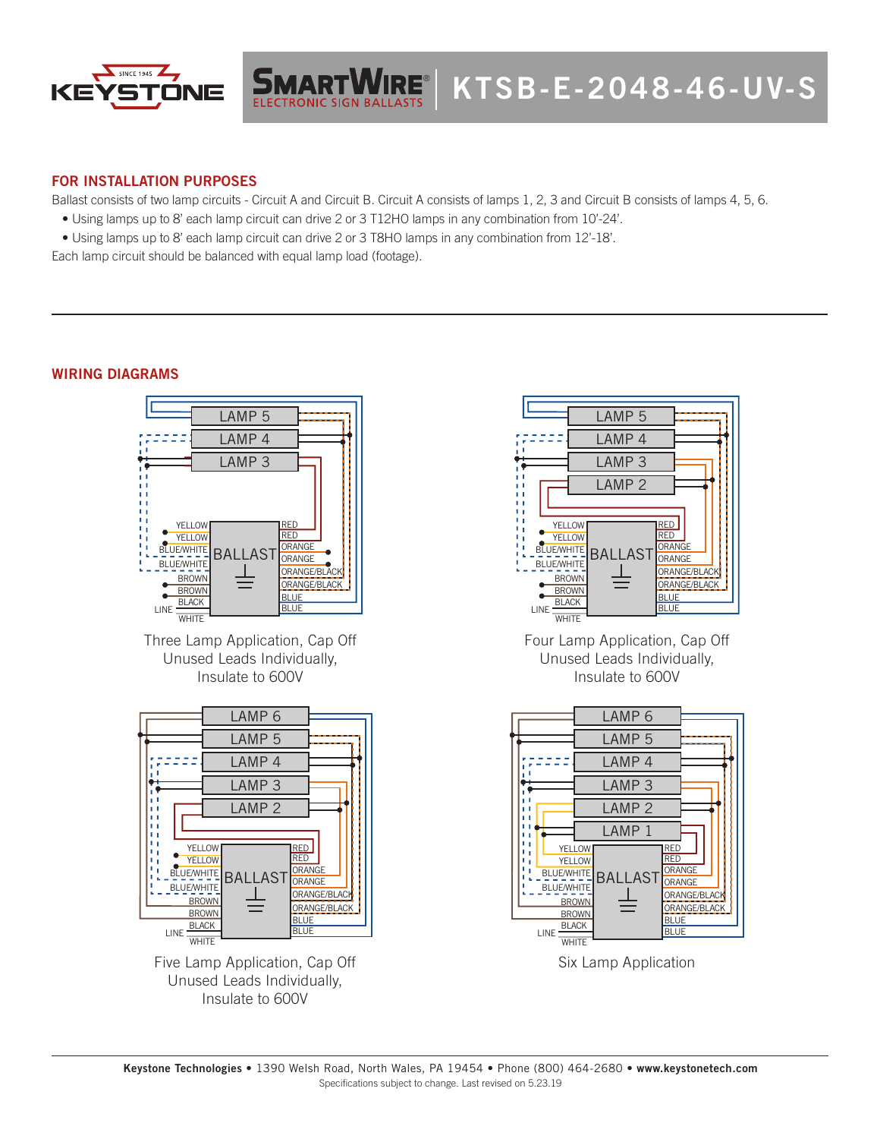

# **FOR INSTALLATION PURPOSES**

Ballast consists of two lamp circuits - Circuit A and Circuit B. Circuit A consists of lamps 1, 2, 3 and Circuit B consists of lamps 4, 5, 6.

- Using lamps up to 8' each lamp circuit can drive 2 or 3 T12HO lamps in any combination from 10'-24'.
- Using lamps up to 8' each lamp circuit can drive 2 or 3 T8HO lamps in any combination from 12'-18'.

Each lamp circuit should be balanced with equal lamp load (footage).

## **WIRING DIAGRAMS**



Five Lamp Application, Cap Off Unused Leads Individually, Insulate to 600V



Four Lamp Application, Cap Off Unused Leads Individually, Insulate to 600V



Six Lamp Application